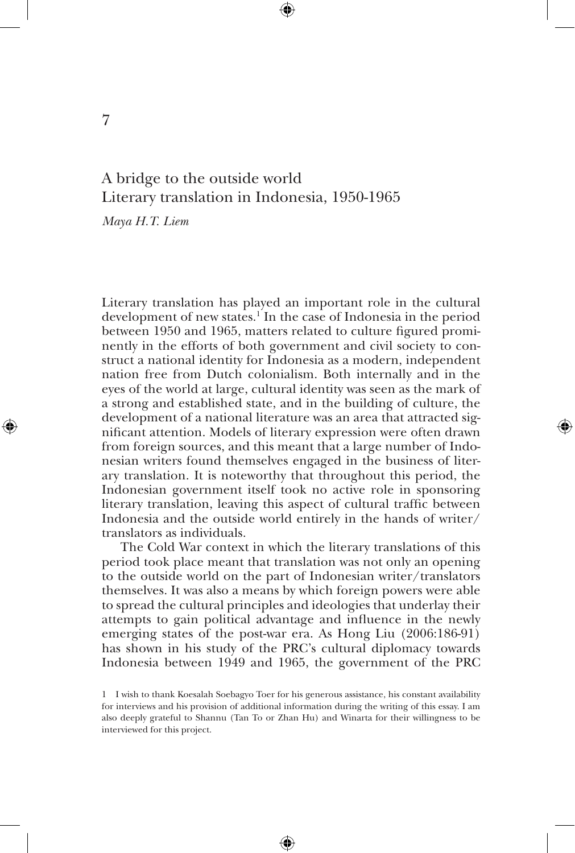# A bridge to the outside world Literary translation in Indonesia, 1950-1965

*Maya H.T. Liem*

Literary translation has played an important role in the cultural development of new states.<sup>1</sup> In the case of Indonesia in the period between 1950 and 1965, matters related to culture figured prominently in the efforts of both government and civil society to construct a national identity for Indonesia as a modern, independent nation free from Dutch colonialism. Both internally and in the eyes of the world at large, cultural identity was seen as the mark of a strong and established state, and in the building of culture, the development of a national literature was an area that attracted significant attention. Models of literary expression were often drawn from foreign sources, and this meant that a large number of Indonesian writers found themselves engaged in the business of literary translation. It is noteworthy that throughout this period, the Indonesian government itself took no active role in sponsoring literary translation, leaving this aspect of cultural traffic between Indonesia and the outside world entirely in the hands of writer/ translators as individuals.

The Cold War context in which the literary translations of this period took place meant that translation was not only an opening to the outside world on the part of Indonesian writer/translators themselves. It was also a means by which foreign powers were able to spread the cultural principles and ideologies that underlay their attempts to gain political advantage and influence in the newly emerging states of the post-war era. As Hong Liu (2006:186-91) has shown in his study of the PRC's cultural diplomacy towards Indonesia between 1949 and 1965, the government of the PRC

7

<sup>1</sup> I wish to thank Koesalah Soebagyo Toer for his generous assistance, his constant availability for interviews and his provision of additional information during the writing of this essay. I am also deeply grateful to Shannu (Tan To or Zhan Hu) and Winarta for their willingness to be interviewed for this project.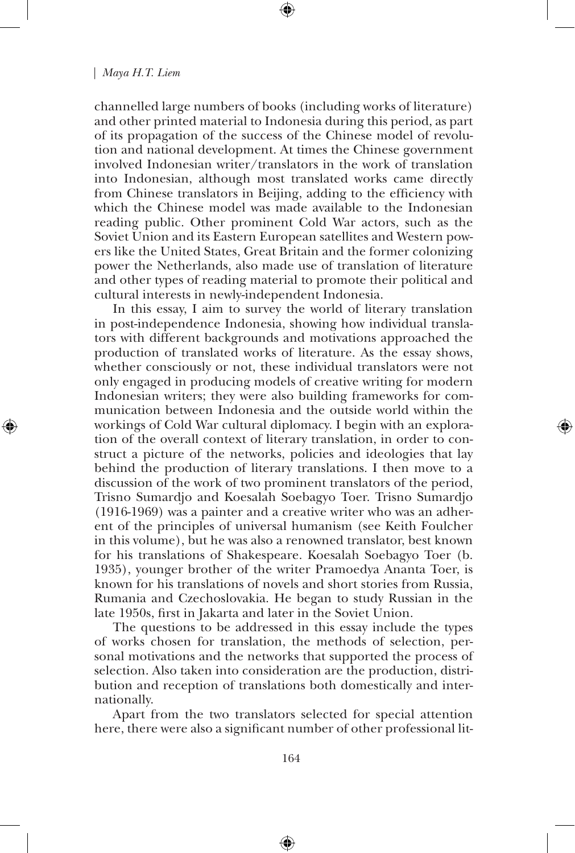channelled large numbers of books (including works of literature) and other printed material to Indonesia during this period, as part of its propagation of the success of the Chinese model of revolution and national development. At times the Chinese government involved Indonesian writer/translators in the work of translation into Indonesian, although most translated works came directly from Chinese translators in Beijing, adding to the efficiency with which the Chinese model was made available to the Indonesian reading public. Other prominent Cold War actors, such as the Soviet Union and its Eastern European satellites and Western powers like the United States, Great Britain and the former colonizing power the Netherlands, also made use of translation of literature and other types of reading material to promote their political and cultural interests in newly-independent Indonesia.

In this essay, I aim to survey the world of literary translation in post-independence Indonesia, showing how individual translators with different backgrounds and motivations approached the production of translated works of literature. As the essay shows, whether consciously or not, these individual translators were not only engaged in producing models of creative writing for modern Indonesian writers; they were also building frameworks for communication between Indonesia and the outside world within the workings of Cold War cultural diplomacy. I begin with an exploration of the overall context of literary translation, in order to construct a picture of the networks, policies and ideologies that lay behind the production of literary translations. I then move to a discussion of the work of two prominent translators of the period, Trisno Sumardjo and Koesalah Soebagyo Toer. Trisno Sumardjo (1916-1969) was a painter and a creative writer who was an adherent of the principles of universal humanism (see Keith Foulcher in this volume), but he was also a renowned translator, best known for his translations of Shakespeare. Koesalah Soebagyo Toer (b. 1935), younger brother of the writer Pramoedya Ananta Toer, is known for his translations of novels and short stories from Russia, Rumania and Czechoslovakia. He began to study Russian in the late 1950s, first in Jakarta and later in the Soviet Union.

The questions to be addressed in this essay include the types of works chosen for translation, the methods of selection, personal motivations and the networks that supported the process of selection. Also taken into consideration are the production, distribution and reception of translations both domestically and internationally.

Apart from the two translators selected for special attention here, there were also a significant number of other professional lit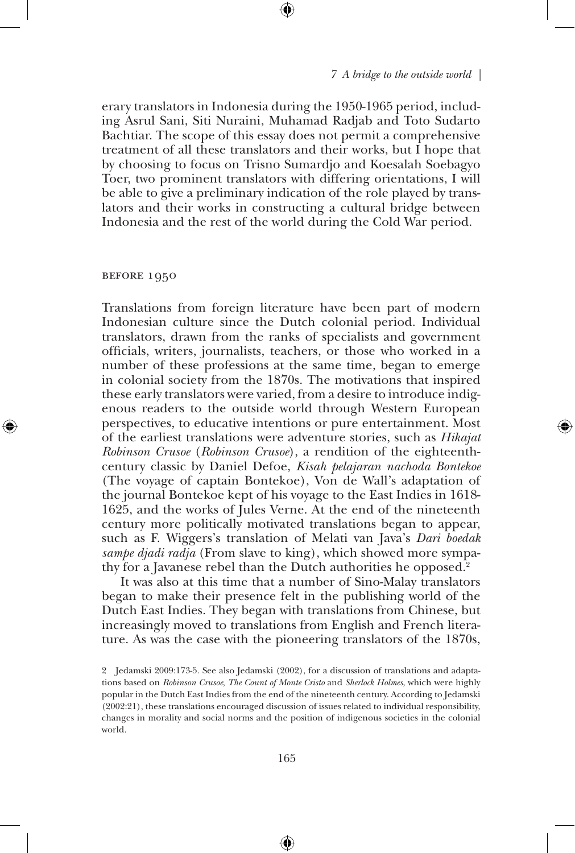erary translators in Indonesia during the 1950-1965 period, including Asrul Sani, Siti Nuraini, Muhamad Radjab and Toto Sudarto Bachtiar. The scope of this essay does not permit a comprehensive treatment of all these translators and their works, but I hope that by choosing to focus on Trisno Sumardjo and Koesalah Soebagyo Toer, two prominent translators with differing orientations, I will be able to give a preliminary indication of the role played by translators and their works in constructing a cultural bridge between Indonesia and the rest of the world during the Cold War period.

#### before 1950

Translations from foreign literature have been part of modern Indonesian culture since the Dutch colonial period. Individual translators, drawn from the ranks of specialists and government officials, writers, journalists, teachers, or those who worked in a number of these professions at the same time, began to emerge in colonial society from the 1870s. The motivations that inspired these early translators were varied, from a desire to introduce indigenous readers to the outside world through Western European perspectives, to educative intentions or pure entertainment. Most of the earliest translations were adventure stories, such as *Hikajat Robinson Crusoe* (*Robinson Crusoe*), a rendition of the eighteenthcentury classic by Daniel Defoe, *Kisah pelajaran nachoda Bontekoe* (The voyage of captain Bontekoe), Von de Wall's adaptation of the journal Bontekoe kept of his voyage to the East Indies in 1618- 1625, and the works of Jules Verne. At the end of the nineteenth century more politically motivated translations began to appear, such as F. Wiggers's translation of Melati van Java's *Dari boedak sampe djadi radja* (From slave to king), which showed more sympathy for a Javanese rebel than the Dutch authorities he opposed.<sup>2</sup>

It was also at this time that a number of Sino-Malay translators began to make their presence felt in the publishing world of the Dutch East Indies. They began with translations from Chinese, but increasingly moved to translations from English and French literature. As was the case with the pioneering translators of the 1870s,

<sup>2</sup> Jedamski 2009:173-5. See also Jedamski (2002), for a discussion of translations and adaptations based on *Robinson Crusoe*, *The Count of Monte Cristo* and *Sherlock Holmes*, which were highly popular in the Dutch East Indies from the end of the nineteenth century. According to Jedamski (2002:21), these translations encouraged discussion of issues related to individual responsibility, changes in morality and social norms and the position of indigenous societies in the colonial world.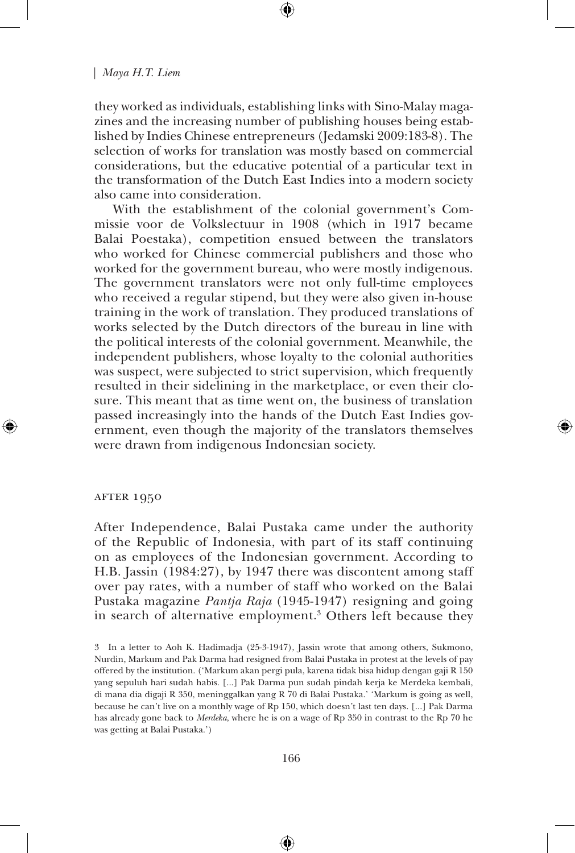they worked as individuals, establishing links with Sino-Malay magazines and the increasing number of publishing houses being established by Indies Chinese entrepreneurs (Jedamski 2009:183-8). The selection of works for translation was mostly based on commercial considerations, but the educative potential of a particular text in the transformation of the Dutch East Indies into a modern society also came into consideration.

With the establishment of the colonial government's Commissie voor de Volkslectuur in 1908 (which in 1917 became Balai Poestaka), competition ensued between the translators who worked for Chinese commercial publishers and those who worked for the government bureau, who were mostly indigenous. The government translators were not only full-time employees who received a regular stipend, but they were also given in-house training in the work of translation. They produced translations of works selected by the Dutch directors of the bureau in line with the political interests of the colonial government. Meanwhile, the independent publishers, whose loyalty to the colonial authorities was suspect, were subjected to strict supervision, which frequently resulted in their sidelining in the marketplace, or even their closure. This meant that as time went on, the business of translation passed increasingly into the hands of the Dutch East Indies government, even though the majority of the translators themselves were drawn from indigenous Indonesian society.

#### **AFTER 1950**

After Independence, Balai Pustaka came under the authority of the Republic of Indonesia, with part of its staff continuing on as employees of the Indonesian government. According to H.B. Jassin (1984:27), by 1947 there was discontent among staff over pay rates, with a number of staff who worked on the Balai Pustaka magazine *Pantja Raja* (1945-1947) resigning and going in search of alternative employment.<sup>3</sup> Others left because they

<sup>3</sup> In a letter to Aoh K. Hadimadja (25-3-1947), Jassin wrote that among others, Sukmono, Nurdin, Markum and Pak Darma had resigned from Balai Pustaka in protest at the levels of pay offered by the institution. ('Markum akan pergi pula, karena tidak bisa hidup dengan gaji R 150 yang sepuluh hari sudah habis. [...] Pak Darma pun sudah pindah kerja ke Merdeka kembali, di mana dia digaji R 350, meninggalkan yang R 70 di Balai Pustaka.' 'Markum is going as well, because he can't live on a monthly wage of Rp 150, which doesn't last ten days. [...] Pak Darma has already gone back to *Merdeka*, where he is on a wage of Rp 350 in contrast to the Rp 70 he was getting at Balai Pustaka.')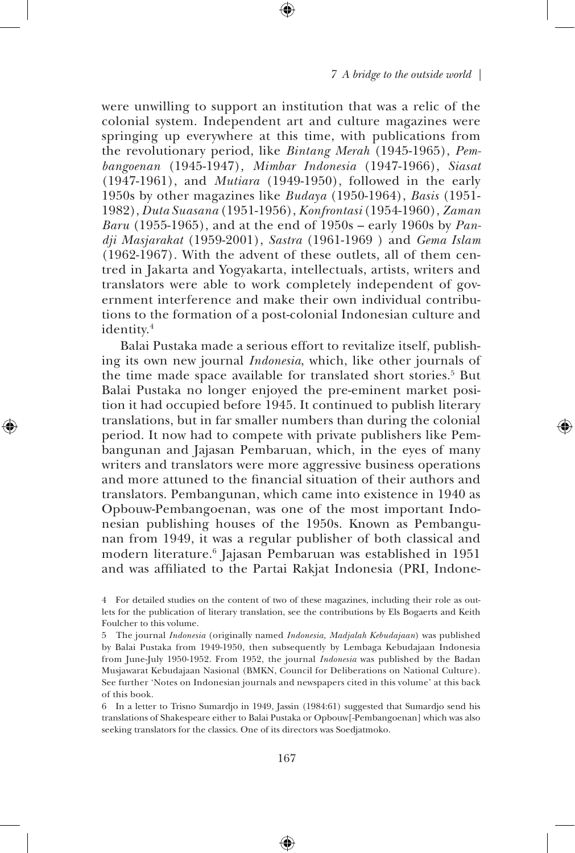were unwilling to support an institution that was a relic of the colonial system. Independent art and culture magazines were springing up everywhere at this time, with publications from the revolutionary period, like *Bintang Merah* (1945-1965), *Pembangoenan* (1945-1947)*, Mimbar Indonesia* (1947-1966), *Siasat* (1947-1961), and *Mutiara* (1949-1950), followed in the early 1950s by other magazines like *Budaya* (1950-1964), *Basis* (1951- 1982), *Duta Suasana* (1951-1956), *Konfrontasi* (1954-1960), *Zaman Baru* (1955-1965), and at the end of 1950s – early 1960s by *Pandji Masjarakat* (1959-2001), *Sastra* (1961-1969 ) and *Gema Islam* (1962-1967). With the advent of these outlets, all of them centred in Jakarta and Yogyakarta, intellectuals, artists, writers and translators were able to work completely independent of government interference and make their own individual contributions to the formation of a post-colonial Indonesian culture and identity.4

Balai Pustaka made a serious effort to revitalize itself, publishing its own new journal *Indonesia*, which, like other journals of the time made space available for translated short stories.<sup>5</sup> But Balai Pustaka no longer enjoyed the pre-eminent market position it had occupied before 1945. It continued to publish literary translations, but in far smaller numbers than during the colonial period. It now had to compete with private publishers like Pembangunan and Jajasan Pembaruan, which, in the eyes of many writers and translators were more aggressive business operations and more attuned to the financial situation of their authors and translators. Pembangunan, which came into existence in 1940 as Opbouw-Pembangoenan, was one of the most important Indonesian publishing houses of the 1950s. Known as Pembangunan from 1949, it was a regular publisher of both classical and modern literature.6 Jajasan Pembaruan was established in 1951 and was affiliated to the Partai Rakjat Indonesia (PRI, Indone-

<sup>4</sup> For detailed studies on the content of two of these magazines, including their role as outlets for the publication of literary translation, see the contributions by Els Bogaerts and Keith Foulcher to this volume.

<sup>5</sup> The journal *Indonesia* (originally named *Indonesia, Madjalah Kebudajaan*) was published by Balai Pustaka from 1949-1950, then subsequently by Lembaga Kebudajaan Indonesia from June-July 1950-1952. From 1952, the journal *Indonesia* was published by the Badan Musjawarat Kebudajaan Nasional (BMKN, Council for Deliberations on National Culture). See further 'Notes on Indonesian journals and newspapers cited in this volume' at this back of this book.

<sup>6</sup> In a letter to Trisno Sumardjo in 1949, Jassin (1984:61) suggested that Sumardjo send his translations of Shakespeare either to Balai Pustaka or Opbouw[-Pembangoenan] which was also seeking translators for the classics. One of its directors was Soedjatmoko.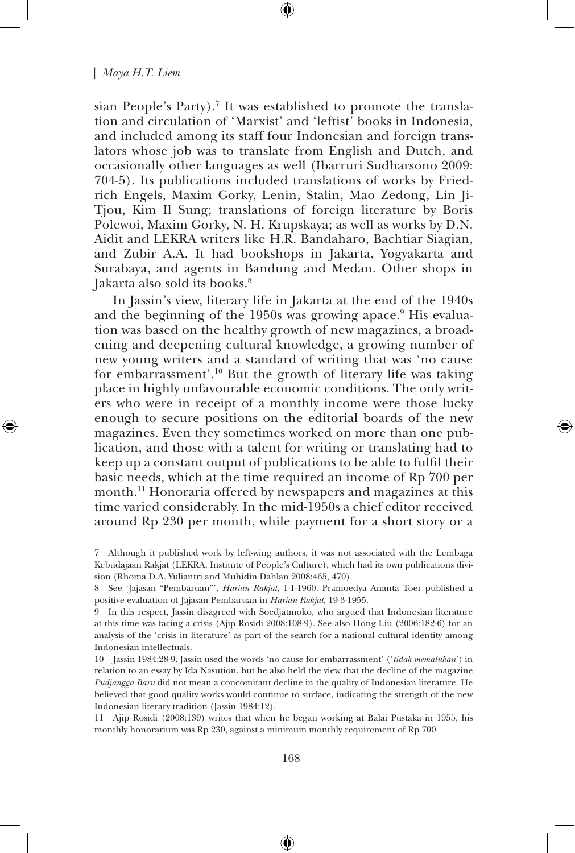sian People's Party).7 It was established to promote the translation and circulation of 'Marxist' and 'leftist' books in Indonesia, and included among its staff four Indonesian and foreign translators whose job was to translate from English and Dutch, and occasionally other languages as well (Ibarruri Sudharsono 2009: 704-5). Its publications included translations of works by Friedrich Engels, Maxim Gorky, Lenin, Stalin, Mao Zedong, Lin Ji-Tjou, Kim Il Sung; translations of foreign literature by Boris Polewoi, Maxim Gorky, N. H. Krupskaya; as well as works by D.N. Aidit and LEKRA writers like H.R. Bandaharo, Bachtiar Siagian, and Zubir A.A. It had bookshops in Jakarta, Yogyakarta and Surabaya, and agents in Bandung and Medan. Other shops in Jakarta also sold its books.<sup>8</sup>

In Jassin's view, literary life in Jakarta at the end of the 1940s and the beginning of the 1950s was growing apace.<sup>9</sup> His evaluation was based on the healthy growth of new magazines, a broadening and deepening cultural knowledge, a growing number of new young writers and a standard of writing that was 'no cause for embarrassment'.10 But the growth of literary life was taking place in highly unfavourable economic conditions. The only writers who were in receipt of a monthly income were those lucky enough to secure positions on the editorial boards of the new magazines. Even they sometimes worked on more than one publication, and those with a talent for writing or translating had to keep up a constant output of publications to be able to fulfil their basic needs, which at the time required an income of Rp 700 per month.11 Honoraria offered by newspapers and magazines at this time varied considerably. In the mid-1950s a chief editor received around Rp 230 per month, while payment for a short story or a

7 Although it published work by left-wing authors, it was not associated with the Lembaga Kebudajaan Rakjat (LEKRA, Institute of People's Culture), which had its own publications division (Rhoma D.A. Yuliantri and Muhidin Dahlan 2008:465, 470).

8 See 'Jajasan "Pembaruan"', *Harian Rakjat*, 1-1-1960. Pramoedya Ananta Toer published a positive evaluation of Jajasan Pembaruan in *Harian Rakjat,* 19-3-1955.

9 In this respect, Jassin disagreed with Soedjatmoko, who argued that Indonesian literature at this time was facing a crisis (Ajip Rosidi 2008:108-9). See also Hong Liu (2006:182-6) for an analysis of the 'crisis in literature' as part of the search for a national cultural identity among Indonesian intellectuals.

10 Jassin 1984:28-9. Jassin used the words 'no cause for embarrassment' ('*tidak memalukan*') in relation to an essay by Ida Nasution, but he also held the view that the decline of the magazine *Pudjangga Baru* did not mean a concomitant decline in the quality of Indonesian literature. He believed that good quality works would continue to surface, indicating the strength of the new Indonesian literary tradition (Jassin 1984:12).

11 Ajip Rosidi (2008:139) writes that when he began working at Balai Pustaka in 1955, his monthly honorarium was Rp 230, against a minimum monthly requirement of Rp 700.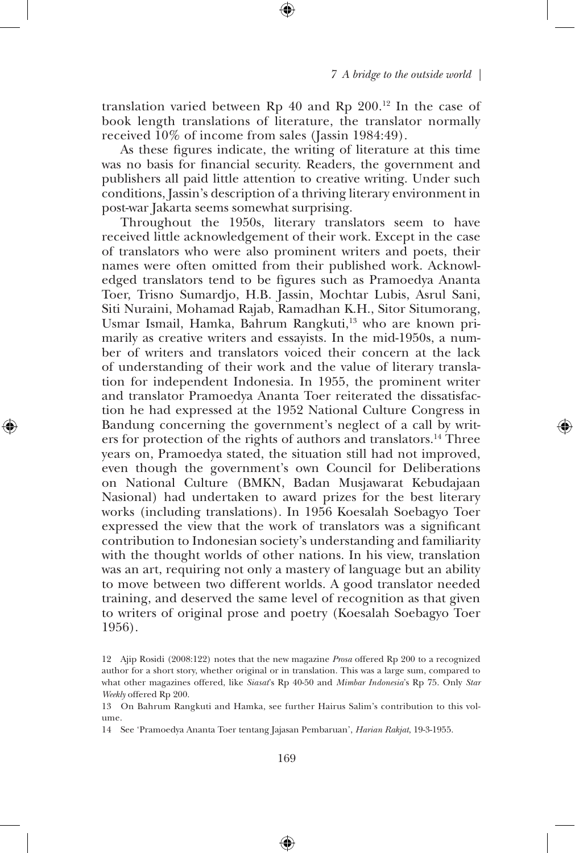translation varied between Rp 40 and Rp 200.12 In the case of book length translations of literature, the translator normally received 10% of income from sales (Jassin 1984:49).

As these figures indicate, the writing of literature at this time was no basis for financial security. Readers, the government and publishers all paid little attention to creative writing. Under such conditions, Jassin's description of a thriving literary environment in post-war Jakarta seems somewhat surprising.

Throughout the 1950s, literary translators seem to have received little acknowledgement of their work. Except in the case of translators who were also prominent writers and poets, their names were often omitted from their published work. Acknowledged translators tend to be figures such as Pramoedya Ananta Toer, Trisno Sumardjo, H.B. Jassin, Mochtar Lubis, Asrul Sani, Siti Nuraini, Mohamad Rajab, Ramadhan K.H., Sitor Situmorang, Usmar Ismail, Hamka, Bahrum Rangkuti,<sup>13</sup> who are known primarily as creative writers and essayists. In the mid-1950s, a number of writers and translators voiced their concern at the lack of understanding of their work and the value of literary translation for independent Indonesia. In 1955, the prominent writer and translator Pramoedya Ananta Toer reiterated the dissatisfaction he had expressed at the 1952 National Culture Congress in Bandung concerning the government's neglect of a call by writers for protection of the rights of authors and translators.14 Three years on, Pramoedya stated, the situation still had not improved, even though the government's own Council for Deliberations on National Culture (BMKN, Badan Musjawarat Kebudajaan Nasional) had undertaken to award prizes for the best literary works (including translations). In 1956 Koesalah Soebagyo Toer expressed the view that the work of translators was a significant contribution to Indonesian society's understanding and familiarity with the thought worlds of other nations. In his view, translation was an art, requiring not only a mastery of language but an ability to move between two different worlds. A good translator needed training, and deserved the same level of recognition as that given to writers of original prose and poetry (Koesalah Soebagyo Toer 1956).

<sup>12</sup> Ajip Rosidi (2008:122) notes that the new magazine *Prosa* offered Rp 200 to a recognized author for a short story, whether original or in translation. This was a large sum, compared to what other magazines offered, like *Siasat*'s Rp 40-50 and *Mimbar Indonesia*'s Rp 75. Only *Star Weekly* offered Rp 200.

<sup>13</sup> On Bahrum Rangkuti and Hamka, see further Hairus Salim's contribution to this volume.

<sup>14</sup> See 'Pramoedya Ananta Toer tentang Jajasan Pembaruan', *Harian Rakjat*, 19-3-1955.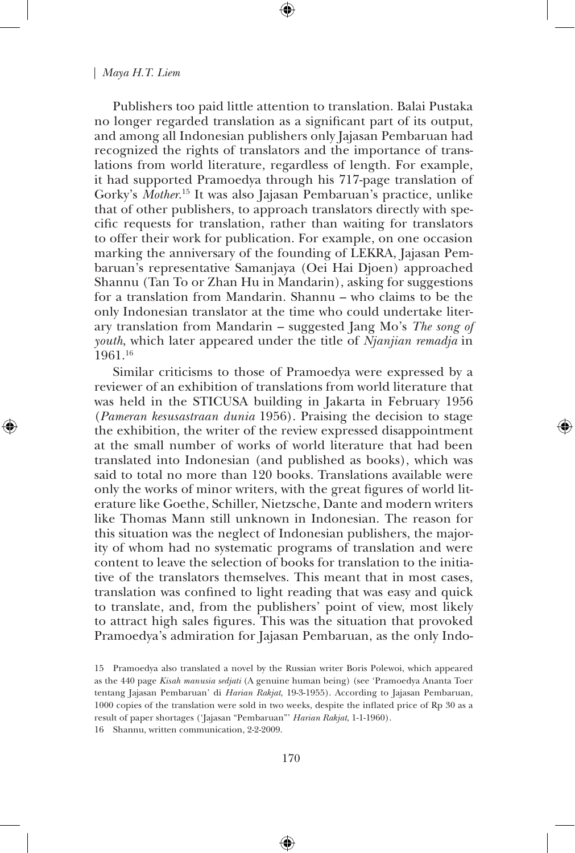Publishers too paid little attention to translation. Balai Pustaka no longer regarded translation as a significant part of its output, and among all Indonesian publishers only Jajasan Pembaruan had recognized the rights of translators and the importance of translations from world literature, regardless of length. For example, it had supported Pramoedya through his 717-page translation of Gorky's *Mother*. 15 It was also Jajasan Pembaruan's practice, unlike that of other publishers, to approach translators directly with specific requests for translation, rather than waiting for translators to offer their work for publication. For example, on one occasion marking the anniversary of the founding of LEKRA, Jajasan Pembaruan's representative Samanjaya (Oei Hai Djoen) approached Shannu (Tan To or Zhan Hu in Mandarin), asking for suggestions for a translation from Mandarin. Shannu – who claims to be the only Indonesian translator at the time who could undertake literary translation from Mandarin – suggested Jang Mo's *The song of youth*, which later appeared under the title of *Njanjian remadja* in 1961.16

Similar criticisms to those of Pramoedya were expressed by a reviewer of an exhibition of translations from world literature that was held in the STICUSA building in Jakarta in February 1956 (*Pameran kesusastraan dunia* 1956). Praising the decision to stage the exhibition, the writer of the review expressed disappointment at the small number of works of world literature that had been translated into Indonesian (and published as books), which was said to total no more than 120 books. Translations available were only the works of minor writers, with the great figures of world literature like Goethe, Schiller, Nietzsche, Dante and modern writers like Thomas Mann still unknown in Indonesian. The reason for this situation was the neglect of Indonesian publishers, the majority of whom had no systematic programs of translation and were content to leave the selection of books for translation to the initiative of the translators themselves. This meant that in most cases, translation was confined to light reading that was easy and quick to translate, and, from the publishers' point of view, most likely to attract high sales figures. This was the situation that provoked Pramoedya's admiration for Jajasan Pembaruan, as the only Indo-

16 Shannu, written communication, 2-2-2009.

<sup>15</sup> Pramoedya also translated a novel by the Russian writer Boris Polewoi, which appeared as the 440 page *Kisah manusia sedjati* (A genuine human being) (see 'Pramoedya Ananta Toer tentang Jajasan Pembaruan' di *Harian Rakjat*, 19-3-1955). According to Jajasan Pembaruan, 1000 copies of the translation were sold in two weeks, despite the inflated price of Rp 30 as a result of paper shortages ('Jajasan "Pembaruan"' *Harian Rakjat*, 1-1-1960).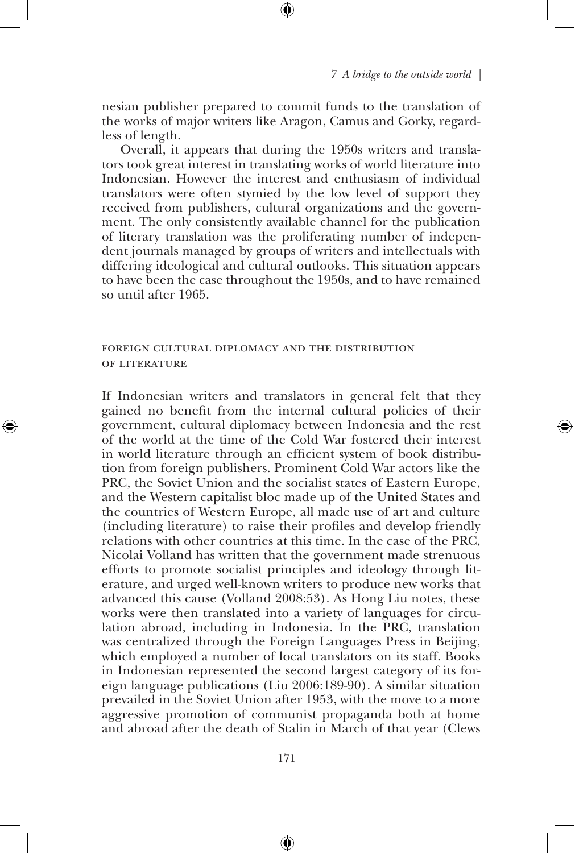nesian publisher prepared to commit funds to the translation of the works of major writers like Aragon, Camus and Gorky, regardless of length.

Overall, it appears that during the 1950s writers and translators took great interest in translating works of world literature into Indonesian. However the interest and enthusiasm of individual translators were often stymied by the low level of support they received from publishers, cultural organizations and the government. The only consistently available channel for the publication of literary translation was the proliferating number of independent journals managed by groups of writers and intellectuals with differing ideological and cultural outlooks. This situation appears to have been the case throughout the 1950s, and to have remained so until after 1965.

### foreign cultural diplomacy and the distribution of literature

If Indonesian writers and translators in general felt that they gained no benefit from the internal cultural policies of their government, cultural diplomacy between Indonesia and the rest of the world at the time of the Cold War fostered their interest in world literature through an efficient system of book distribution from foreign publishers. Prominent Cold War actors like the PRC, the Soviet Union and the socialist states of Eastern Europe, and the Western capitalist bloc made up of the United States and the countries of Western Europe, all made use of art and culture (including literature) to raise their profiles and develop friendly relations with other countries at this time. In the case of the PRC, Nicolai Volland has written that the government made strenuous efforts to promote socialist principles and ideology through literature, and urged well-known writers to produce new works that advanced this cause (Volland 2008:53). As Hong Liu notes, these works were then translated into a variety of languages for circulation abroad, including in Indonesia. In the PRC, translation was centralized through the Foreign Languages Press in Beijing, which employed a number of local translators on its staff. Books in Indonesian represented the second largest category of its foreign language publications (Liu 2006:189-90). A similar situation prevailed in the Soviet Union after 1953, with the move to a more aggressive promotion of communist propaganda both at home and abroad after the death of Stalin in March of that year (Clews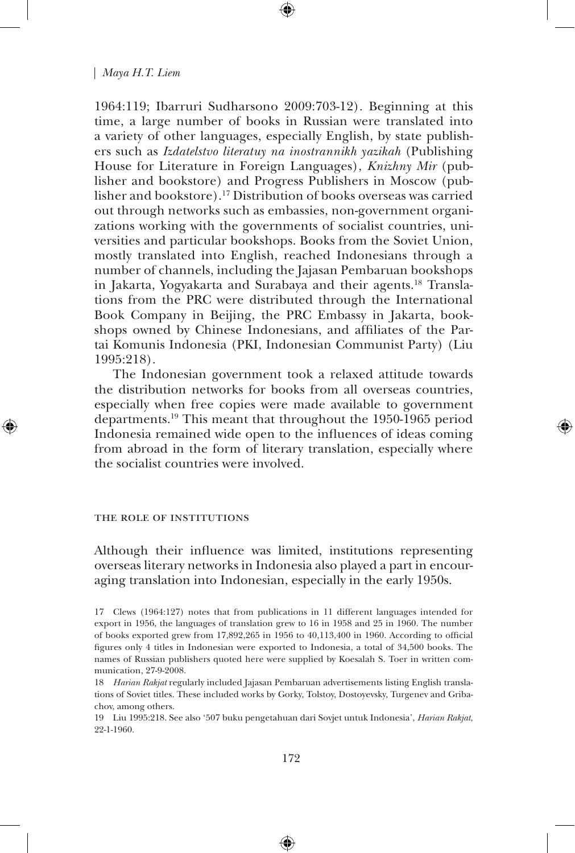1964:119; Ibarruri Sudharsono 2009:703-12). Beginning at this time, a large number of books in Russian were translated into a variety of other languages, especially English, by state publishers such as *Izdatelstvo literatuy na inostrannikh yazikah* (Publishing House for Literature in Foreign Languages), *Knizhny Mir* (publisher and bookstore) and Progress Publishers in Moscow (publisher and bookstore).17 Distribution of books overseas was carried out through networks such as embassies, non-government organizations working with the governments of socialist countries, universities and particular bookshops. Books from the Soviet Union, mostly translated into English, reached Indonesians through a number of channels, including the Jajasan Pembaruan bookshops in Jakarta, Yogyakarta and Surabaya and their agents.18 Translations from the PRC were distributed through the International Book Company in Beijing, the PRC Embassy in Jakarta, bookshops owned by Chinese Indonesians, and affiliates of the Partai Komunis Indonesia (PKI, Indonesian Communist Party) (Liu 1995:218).

The Indonesian government took a relaxed attitude towards the distribution networks for books from all overseas countries, especially when free copies were made available to government departments.19 This meant that throughout the 1950-1965 period Indonesia remained wide open to the influences of ideas coming from abroad in the form of literary translation, especially where the socialist countries were involved.

#### THE ROLE OF INSTITUTIONS

Although their influence was limited, institutions representing overseas literary networks in Indonesia also played a part in encouraging translation into Indonesian, especially in the early 1950s.

<sup>17</sup> Clews (1964:127) notes that from publications in 11 different languages intended for export in 1956, the languages of translation grew to 16 in 1958 and 25 in 1960. The number of books exported grew from 17,892,265 in 1956 to 40,113,400 in 1960. According to official figures only 4 titles in Indonesian were exported to Indonesia, a total of 34,500 books. The names of Russian publishers quoted here were supplied by Koesalah S. Toer in written communication, 27-9-2008.

<sup>18</sup> *Harian Rakjat* regularly included Jajasan Pembaruan advertisements listing English translations of Soviet titles. These included works by Gorky, Tolstoy, Dostoyevsky, Turgenev and Gribachov, among others.

<sup>19</sup> Liu 1995:218. See also '507 buku pengetahuan dari Sovjet untuk Indonesia', *Harian Rakjat*, 22-1-1960.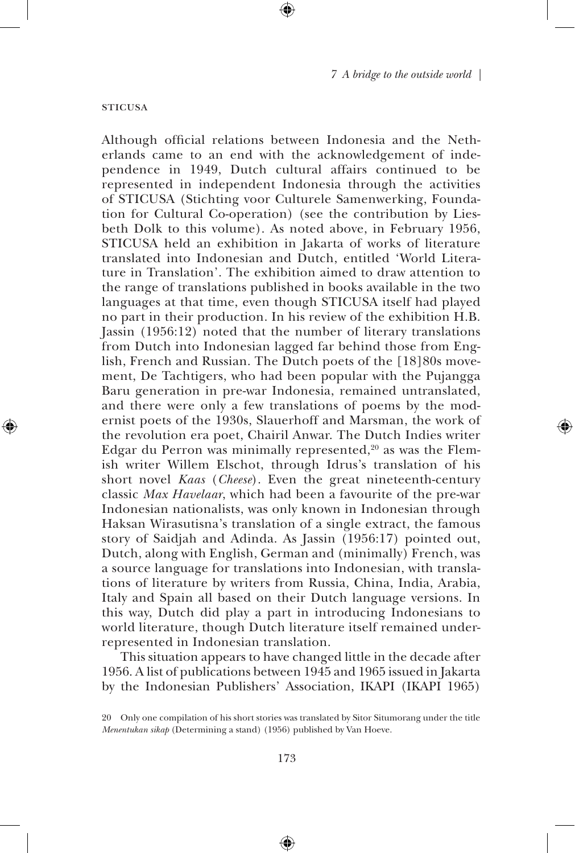#### **STICUSA**

Although official relations between Indonesia and the Netherlands came to an end with the acknowledgement of independence in 1949, Dutch cultural affairs continued to be represented in independent Indonesia through the activities of STICUSA (Stichting voor Culturele Samenwerking, Foundation for Cultural Co-operation) (see the contribution by Liesbeth Dolk to this volume). As noted above, in February 1956, STICUSA held an exhibition in Jakarta of works of literature translated into Indonesian and Dutch, entitled 'World Literature in Translation'. The exhibition aimed to draw attention to the range of translations published in books available in the two languages at that time, even though STICUSA itself had played no part in their production. In his review of the exhibition H.B. Jassin (1956:12) noted that the number of literary translations from Dutch into Indonesian lagged far behind those from English, French and Russian. The Dutch poets of the [18]80s movement, De Tachtigers, who had been popular with the Pujangga Baru generation in pre-war Indonesia, remained untranslated, and there were only a few translations of poems by the modernist poets of the 1930s, Slauerhoff and Marsman, the work of the revolution era poet, Chairil Anwar. The Dutch Indies writer Edgar du Perron was minimally represented, $20$  as was the Flemish writer Willem Elschot, through Idrus's translation of his short novel *Kaas* (*Cheese*). Even the great nineteenth-century classic *Max Havelaar*, which had been a favourite of the pre-war Indonesian nationalists, was only known in Indonesian through Haksan Wirasutisna's translation of a single extract, the famous story of Saidjah and Adinda. As Jassin (1956:17) pointed out, Dutch, along with English, German and (minimally) French, was a source language for translations into Indonesian, with translations of literature by writers from Russia, China, India, Arabia, Italy and Spain all based on their Dutch language versions. In this way, Dutch did play a part in introducing Indonesians to world literature, though Dutch literature itself remained underrepresented in Indonesian translation.

This situation appears to have changed little in the decade after 1956. A list of publications between 1945 and 1965 issued in Jakarta by the Indonesian Publishers' Association, IKAPI (IKAPI 1965)

<sup>20</sup> Only one compilation of his short stories was translated by Sitor Situmorang under the title *Menentukan sikap* (Determining a stand) (1956) published by Van Hoeve.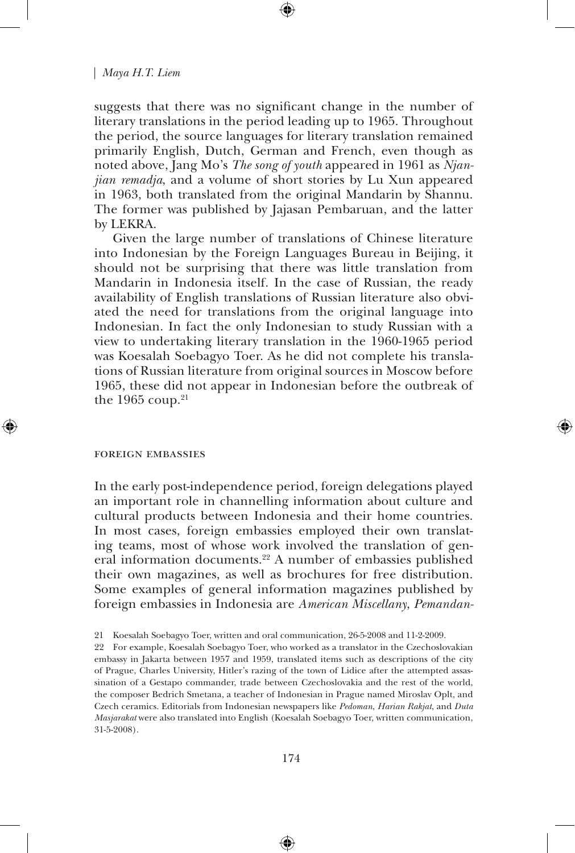suggests that there was no significant change in the number of literary translations in the period leading up to 1965. Throughout the period, the source languages for literary translation remained primarily English, Dutch, German and French, even though as noted above, Jang Mo's *The song of youth* appeared in 1961 as *Njanjian remadja*, and a volume of short stories by Lu Xun appeared in 1963, both translated from the original Mandarin by Shannu. The former was published by Jajasan Pembaruan, and the latter by LEKRA.

Given the large number of translations of Chinese literature into Indonesian by the Foreign Languages Bureau in Beijing, it should not be surprising that there was little translation from Mandarin in Indonesia itself. In the case of Russian, the ready availability of English translations of Russian literature also obviated the need for translations from the original language into Indonesian. In fact the only Indonesian to study Russian with a view to undertaking literary translation in the 1960-1965 period was Koesalah Soebagyo Toer. As he did not complete his translations of Russian literature from original sources in Moscow before 1965, these did not appear in Indonesian before the outbreak of the 1965 coup. $21$ 

#### foreign embassies

In the early post-independence period, foreign delegations played an important role in channelling information about culture and cultural products between Indonesia and their home countries. In most cases, foreign embassies employed their own translating teams, most of whose work involved the translation of general information documents.22 A number of embassies published their own magazines, as well as brochures for free distribution. Some examples of general information magazines published by foreign embassies in Indonesia are *American Miscellany*, *Pemandan-*

<sup>21</sup> Koesalah Soebagyo Toer, written and oral communication, 26-5-2008 and 11-2-2009.

<sup>22</sup> For example, Koesalah Soebagyo Toer, who worked as a translator in the Czechoslovakian embassy in Jakarta between 1957 and 1959, translated items such as descriptions of the city of Prague, Charles University, Hitler's razing of the town of Lidice after the attempted assassination of a Gestapo commander, trade between Czechoslovakia and the rest of the world, the composer Bedrich Smetana, a teacher of Indonesian in Prague named Miroslav Oplt, and Czech ceramics. Editorials from Indonesian newspapers like *Pedoman*, *Harian Rakjat*, and *Duta Masjarakat* were also translated into English (Koesalah Soebagyo Toer, written communication, 31-5-2008).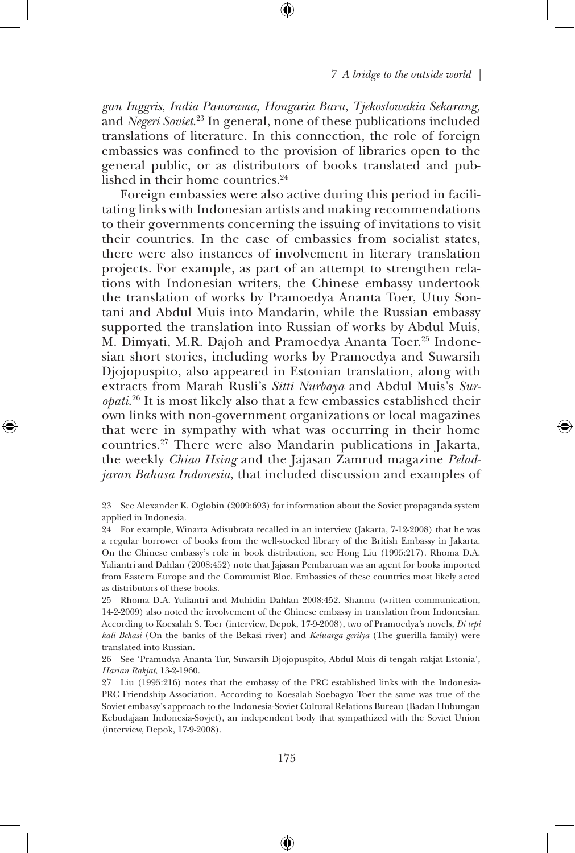*gan Inggris*, *India Panorama*, *Hongaria Baru*, *Tjekoslowakia Sekarang,*  and *Negeri Soviet*. 23 In general, none of these publications included translations of literature. In this connection, the role of foreign embassies was confined to the provision of libraries open to the general public, or as distributors of books translated and published in their home countries.<sup>24</sup>

Foreign embassies were also active during this period in facilitating links with Indonesian artists and making recommendations to their governments concerning the issuing of invitations to visit their countries. In the case of embassies from socialist states, there were also instances of involvement in literary translation projects. For example, as part of an attempt to strengthen relations with Indonesian writers, the Chinese embassy undertook the translation of works by Pramoedya Ananta Toer, Utuy Sontani and Abdul Muis into Mandarin, while the Russian embassy supported the translation into Russian of works by Abdul Muis, M. Dimyati, M.R. Dajoh and Pramoedya Ananta Toer.<sup>25</sup> Indonesian short stories, including works by Pramoedya and Suwarsih Djojopuspito, also appeared in Estonian translation, along with extracts from Marah Rusli's *Sitti Nurbaya* and Abdul Muis's *Suropati*. 26 It is most likely also that a few embassies established their own links with non-government organizations or local magazines that were in sympathy with what was occurring in their home countries.27 There were also Mandarin publications in Jakarta, the weekly *Chiao Hsing* and the Jajasan Zamrud magazine *Peladjaran Bahasa Indonesia*, that included discussion and examples of

<sup>23</sup> See Alexander K. Oglobin (2009:693) for information about the Soviet propaganda system applied in Indonesia.

<sup>24</sup> For example, Winarta Adisubrata recalled in an interview (Jakarta, 7-12-2008) that he was a regular borrower of books from the well-stocked library of the British Embassy in Jakarta. On the Chinese embassy's role in book distribution, see Hong Liu (1995:217). Rhoma D.A. Yuliantri and Dahlan (2008:452) note that Jajasan Pembaruan was an agent for books imported from Eastern Europe and the Communist Bloc. Embassies of these countries most likely acted as distributors of these books.

<sup>25</sup> Rhoma D.A. Yuliantri and Muhidin Dahlan 2008:452. Shannu (written communication, 14-2-2009) also noted the involvement of the Chinese embassy in translation from Indonesian. According to Koesalah S. Toer (interview, Depok, 17-9-2008), two of Pramoedya's novels, *Di tepi kali Bekasi* (On the banks of the Bekasi river) and *Keluarga gerilya* (The guerilla family) were translated into Russian.

<sup>26</sup> See 'Pramudya Ananta Tur, Suwarsih Djojopuspito, Abdul Muis di tengah rakjat Estonia', *Harian Rakjat*, 13-2-1960.

<sup>27</sup> Liu (1995:216) notes that the embassy of the PRC established links with the Indonesia-PRC Friendship Association. According to Koesalah Soebagyo Toer the same was true of the Soviet embassy's approach to the Indonesia-Soviet Cultural Relations Bureau (Badan Hubungan Kebudajaan Indonesia-Sovjet), an independent body that sympathized with the Soviet Union (interview, Depok, 17-9-2008).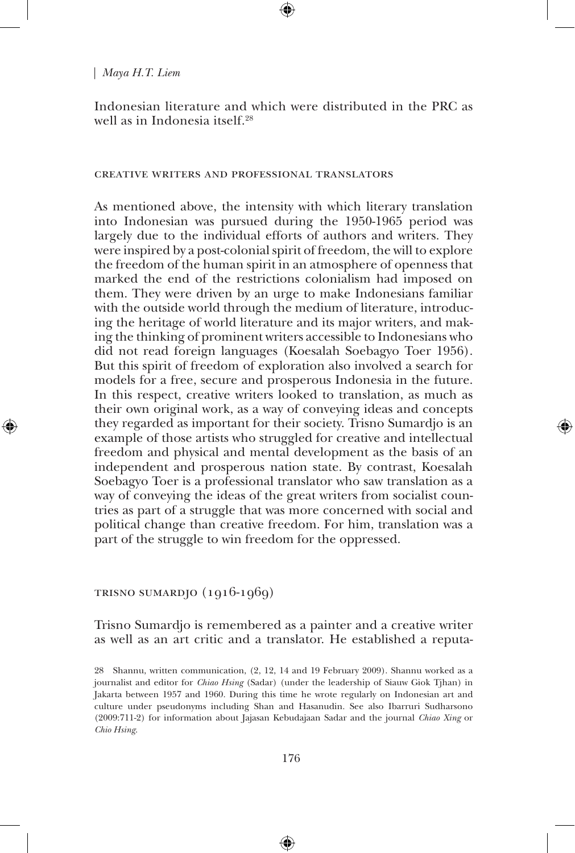#### *| Maya H.T. Liem*

Indonesian literature and which were distributed in the PRC as well as in Indonesia itself<sup>28</sup>

#### creative writers and professional translators

As mentioned above, the intensity with which literary translation into Indonesian was pursued during the 1950-1965 period was largely due to the individual efforts of authors and writers. They were inspired by a post-colonial spirit of freedom, the will to explore the freedom of the human spirit in an atmosphere of openness that marked the end of the restrictions colonialism had imposed on them. They were driven by an urge to make Indonesians familiar with the outside world through the medium of literature, introducing the heritage of world literature and its major writers, and making the thinking of prominent writers accessible to Indonesians who did not read foreign languages (Koesalah Soebagyo Toer 1956). But this spirit of freedom of exploration also involved a search for models for a free, secure and prosperous Indonesia in the future. In this respect, creative writers looked to translation, as much as their own original work, as a way of conveying ideas and concepts they regarded as important for their society. Trisno Sumardjo is an example of those artists who struggled for creative and intellectual freedom and physical and mental development as the basis of an independent and prosperous nation state. By contrast, Koesalah Soebagyo Toer is a professional translator who saw translation as a way of conveying the ideas of the great writers from socialist countries as part of a struggle that was more concerned with social and political change than creative freedom. For him, translation was a part of the struggle to win freedom for the oppressed.

TRISNO SUMARDJO  $(1916-1969)$ 

Trisno Sumardjo is remembered as a painter and a creative writer as well as an art critic and a translator. He established a reputa-

<sup>28</sup> Shannu, written communication, (2, 12, 14 and 19 February 2009). Shannu worked as a journalist and editor for *Chiao Hsing* (Sadar) (under the leadership of Siauw Giok Tjhan) in Jakarta between 1957 and 1960. During this time he wrote regularly on Indonesian art and culture under pseudonyms including Shan and Hasanudin. See also Ibarruri Sudharsono (2009:711-2) for information about Jajasan Kebudajaan Sadar and the journal *Chiao Xing* or *Chio Hsing*.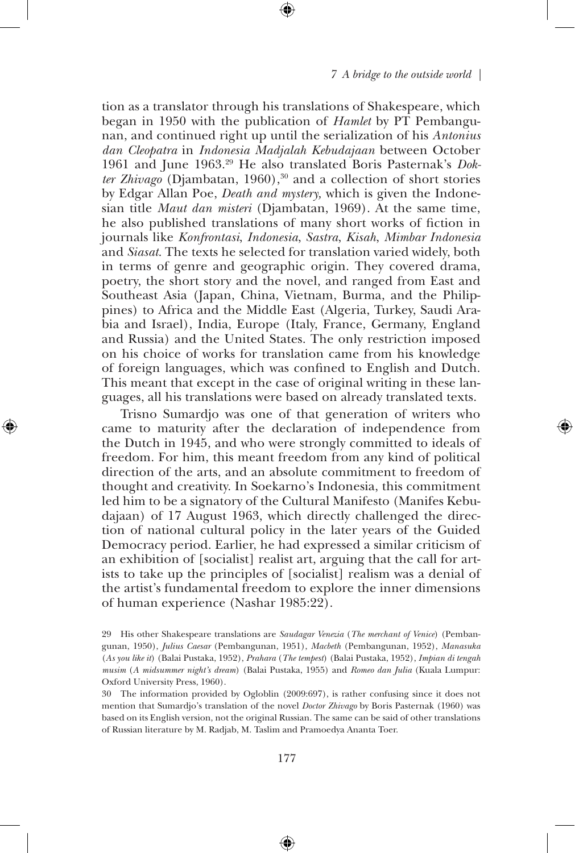tion as a translator through his translations of Shakespeare, which began in 1950 with the publication of *Hamlet* by PT Pembangunan, and continued right up until the serialization of his *Antonius dan Cleopatra* in *Indonesia Madjalah Kebudajaan* between October 1961 and June 1963.29 He also translated Boris Pasternak's *Dok*ter Zhivago<sup> (Djambatan, 1960),<sup>30</sup> and a collection of short stories</sup> by Edgar Allan Poe, *Death and mystery,* which is given the Indonesian title *Maut dan misteri* (Djambatan, 1969). At the same time, he also published translations of many short works of fiction in journals like *Konfrontasi*, *Indonesia*, *Sastra*, *Kisah*, *Mimbar Indonesia* and *Siasat*. The texts he selected for translation varied widely, both in terms of genre and geographic origin. They covered drama, poetry, the short story and the novel, and ranged from East and Southeast Asia (Japan, China, Vietnam, Burma, and the Philippines) to Africa and the Middle East (Algeria, Turkey, Saudi Arabia and Israel), India, Europe (Italy, France, Germany, England and Russia) and the United States. The only restriction imposed on his choice of works for translation came from his knowledge of foreign languages, which was confined to English and Dutch. This meant that except in the case of original writing in these languages, all his translations were based on already translated texts.

Trisno Sumardjo was one of that generation of writers who came to maturity after the declaration of independence from the Dutch in 1945, and who were strongly committed to ideals of freedom. For him, this meant freedom from any kind of political direction of the arts, and an absolute commitment to freedom of thought and creativity. In Soekarno's Indonesia, this commitment led him to be a signatory of the Cultural Manifesto (Manifes Kebudajaan) of 17 August 1963, which directly challenged the direction of national cultural policy in the later years of the Guided Democracy period. Earlier, he had expressed a similar criticism of an exhibition of [socialist] realist art, arguing that the call for artists to take up the principles of [socialist] realism was a denial of the artist's fundamental freedom to explore the inner dimensions of human experience (Nashar 1985:22).

<sup>29</sup> His other Shakespeare translations are *Saudagar Venezia* (*The merchant of Venice*) (Pembangunan, 1950), *Julius Caesar* (Pembangunan, 1951), *Macbeth* (Pembangunan, 1952), *Manasuka* (*As you like it*) (Balai Pustaka, 1952), *Prahara* (*The tempest*) (Balai Pustaka, 1952), *Impian di tengah musim* (*A midsummer night's dream*) (Balai Pustaka, 1955) and *Romeo dan Julia* (Kuala Lumpur: Oxford University Press, 1960).

<sup>30</sup> The information provided by Ogloblin (2009:697), is rather confusing since it does not mention that Sumardjo's translation of the novel *Doctor Zhivago* by Boris Pasternak (1960) was based on its English version, not the original Russian. The same can be said of other translations of Russian literature by M. Radjab, M. Taslim and Pramoedya Ananta Toer.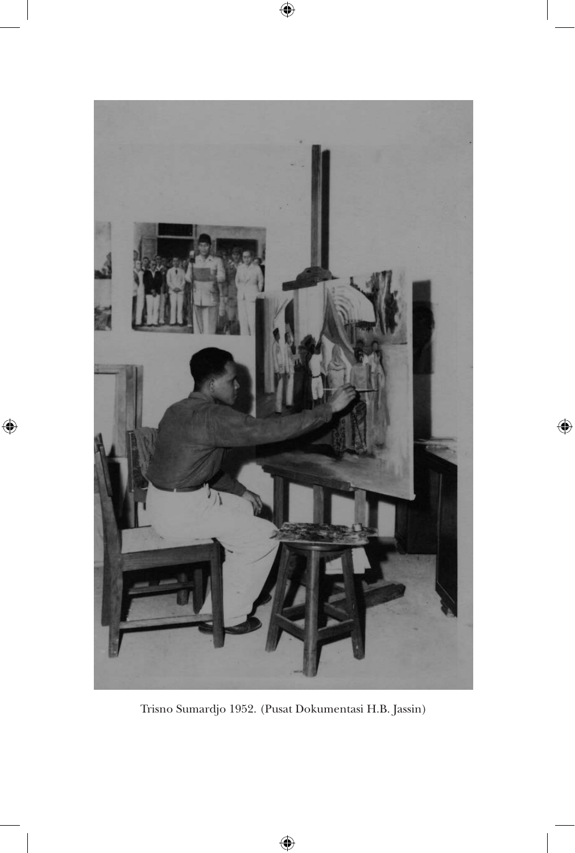

Trisno Sumardjo 1952. (Pusat Dokumentasi H.B. Jassin)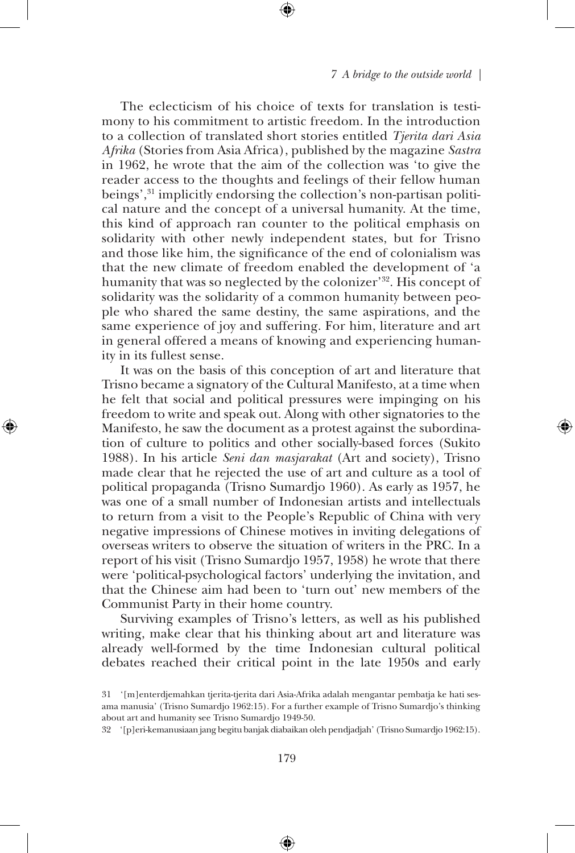The eclecticism of his choice of texts for translation is testimony to his commitment to artistic freedom. In the introduction to a collection of translated short stories entitled *Tjerita dari Asia Afrika* (Stories from Asia Africa), published by the magazine *Sastra* in 1962, he wrote that the aim of the collection was 'to give the reader access to the thoughts and feelings of their fellow human beings',31 implicitly endorsing the collection's non-partisan political nature and the concept of a universal humanity. At the time, this kind of approach ran counter to the political emphasis on solidarity with other newly independent states, but for Trisno and those like him, the significance of the end of colonialism was that the new climate of freedom enabled the development of 'a humanity that was so neglected by the colonizer'32. His concept of solidarity was the solidarity of a common humanity between people who shared the same destiny, the same aspirations, and the same experience of joy and suffering. For him, literature and art in general offered a means of knowing and experiencing humanity in its fullest sense.

It was on the basis of this conception of art and literature that Trisno became a signatory of the Cultural Manifesto, at a time when he felt that social and political pressures were impinging on his freedom to write and speak out. Along with other signatories to the Manifesto, he saw the document as a protest against the subordination of culture to politics and other socially-based forces (Sukito 1988). In his article *Seni dan masjarakat* (Art and society), Trisno made clear that he rejected the use of art and culture as a tool of political propaganda (Trisno Sumardjo 1960). As early as 1957, he was one of a small number of Indonesian artists and intellectuals to return from a visit to the People's Republic of China with very negative impressions of Chinese motives in inviting delegations of overseas writers to observe the situation of writers in the PRC. In a report of his visit (Trisno Sumardjo 1957, 1958) he wrote that there were 'political-psychological factors' underlying the invitation, and that the Chinese aim had been to 'turn out' new members of the Communist Party in their home country.

Surviving examples of Trisno's letters, as well as his published writing, make clear that his thinking about art and literature was already well-formed by the time Indonesian cultural political debates reached their critical point in the late 1950s and early

32 '[p]eri-kemanusiaan jang begitu banjak diabaikan oleh pendjadjah' (Trisno Sumardjo 1962:15).

<sup>31</sup> '[m]enterdjemahkan tjerita-tjerita dari Asia-Afrika adalah mengantar pembatja ke hati sesama manusia' (Trisno Sumardjo 1962:15). For a further example of Trisno Sumardjo's thinking about art and humanity see Trisno Sumardjo 1949-50.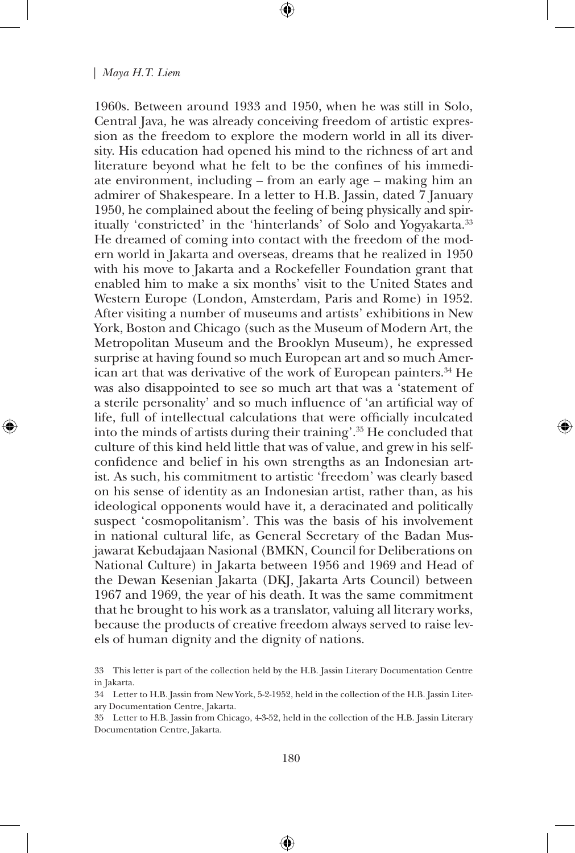1960s. Between around 1933 and 1950, when he was still in Solo, Central Java, he was already conceiving freedom of artistic expression as the freedom to explore the modern world in all its diversity. His education had opened his mind to the richness of art and literature beyond what he felt to be the confines of his immediate environment, including – from an early age – making him an admirer of Shakespeare. In a letter to H.B. Jassin, dated 7 January 1950, he complained about the feeling of being physically and spiritually 'constricted' in the 'hinterlands' of Solo and Yogyakarta.<sup>33</sup> He dreamed of coming into contact with the freedom of the modern world in Jakarta and overseas, dreams that he realized in 1950 with his move to Jakarta and a Rockefeller Foundation grant that enabled him to make a six months' visit to the United States and Western Europe (London, Amsterdam, Paris and Rome) in 1952. After visiting a number of museums and artists' exhibitions in New York, Boston and Chicago (such as the Museum of Modern Art, the Metropolitan Museum and the Brooklyn Museum), he expressed surprise at having found so much European art and so much American art that was derivative of the work of European painters.<sup>34</sup> He was also disappointed to see so much art that was a 'statement of a sterile personality' and so much influence of 'an artificial way of life, full of intellectual calculations that were officially inculcated into the minds of artists during their training'.35 He concluded that culture of this kind held little that was of value, and grew in his selfconfidence and belief in his own strengths as an Indonesian artist. As such, his commitment to artistic 'freedom' was clearly based on his sense of identity as an Indonesian artist, rather than, as his ideological opponents would have it, a deracinated and politically suspect 'cosmopolitanism'. This was the basis of his involvement in national cultural life, as General Secretary of the Badan Musjawarat Kebudajaan Nasional (BMKN, Council for Deliberations on National Culture) in Jakarta between 1956 and 1969 and Head of the Dewan Kesenian Jakarta (DKJ, Jakarta Arts Council) between 1967 and 1969, the year of his death. It was the same commitment that he brought to his work as a translator, valuing all literary works, because the products of creative freedom always served to raise levels of human dignity and the dignity of nations.

<sup>33</sup> This letter is part of the collection held by the H.B. Jassin Literary Documentation Centre in Jakarta.

<sup>34</sup> Letter to H.B. Jassin from New York, 5-2-1952, held in the collection of the H.B. Jassin Literary Documentation Centre, Jakarta.

<sup>35</sup> Letter to H.B. Jassin from Chicago, 4-3-52, held in the collection of the H.B. Jassin Literary Documentation Centre, Jakarta.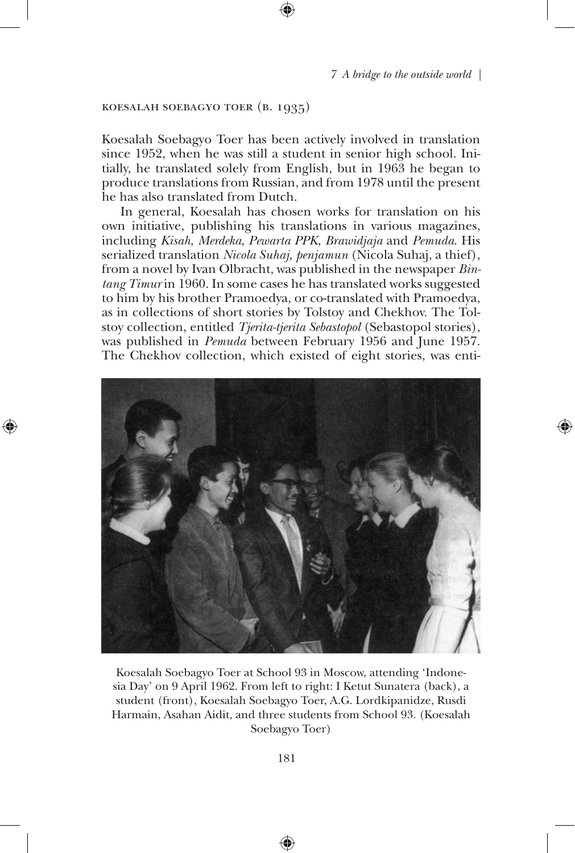### koesalah soebagyo toer (b. 1935)

Koesalah Soebagyo Toer has been actively involved in translation since 1952, when he was still a student in senior high school. Initially, he translated solely from English, but in 1963 he began to produce translations from Russian, and from 1978 until the present he has also translated from Dutch.

In general, Koesalah has chosen works for translation on his own initiative, publishing his translations in various magazines, including *Kisah*, *Merdeka*, *Pewarta PPK*, *Brawidjaja* and *Pemuda*. His serialized translation *Nicola Suhaj, penjamun* (Nicola Suhaj, a thief), from a novel by Ivan Olbracht, was published in the newspaper *Bintang Timur* in 1960. In some cases he has translated works suggested to him by his brother Pramoedya, or co-translated with Pramoedya, as in collections of short stories by Tolstoy and Chekhov. The Tolstoy collection, entitled *Tjerita-tjerita Sebastopol* (Sebastopol stories), was published in *Pemuda* between February 1956 and June 1957. The Chekhov collection, which existed of eight stories, was enti-



Koesalah Soebagyo Toer at School 93 in Moscow, attending 'Indonesia Day' on 9 April 1962. From left to right: I Ketut Sunatera (back), a student (front), Koesalah Soebagyo Toer, A.G. Lordkipanidze, Rusdi Harmain, Asahan Aidit, and three students from School 93. (Koesalah Soebagyo Toer)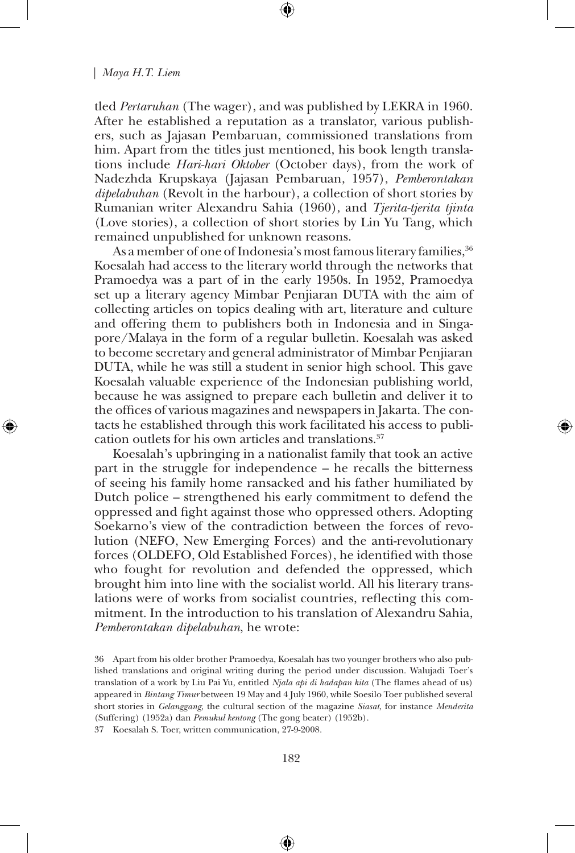tled *Pertaruhan* (The wager), and was published by LEKRA in 1960. After he established a reputation as a translator, various publishers, such as Jajasan Pembaruan, commissioned translations from him. Apart from the titles just mentioned, his book length translations include *Hari-hari Oktober* (October days), from the work of Nadezhda Krupskaya (Jajasan Pembaruan, 1957), *Pemberontakan dipelabuhan* (Revolt in the harbour), a collection of short stories by Rumanian writer Alexandru Sahia (1960), and *Tjerita-tjerita tjinta* (Love stories), a collection of short stories by Lin Yu Tang, which remained unpublished for unknown reasons.

As a member of one of Indonesia's most famous literary families, 36 Koesalah had access to the literary world through the networks that Pramoedya was a part of in the early 1950s. In 1952, Pramoedya set up a literary agency Mimbar Penjiaran DUTA with the aim of collecting articles on topics dealing with art, literature and culture and offering them to publishers both in Indonesia and in Singapore/Malaya in the form of a regular bulletin. Koesalah was asked to become secretary and general administrator of Mimbar Penjiaran DUTA, while he was still a student in senior high school. This gave Koesalah valuable experience of the Indonesian publishing world, because he was assigned to prepare each bulletin and deliver it to the offices of various magazines and newspapers in Jakarta. The contacts he established through this work facilitated his access to publication outlets for his own articles and translations.<sup>37</sup>

Koesalah's upbringing in a nationalist family that took an active part in the struggle for independence – he recalls the bitterness of seeing his family home ransacked and his father humiliated by Dutch police – strengthened his early commitment to defend the oppressed and fight against those who oppressed others. Adopting Soekarno's view of the contradiction between the forces of revolution (NEFO, New Emerging Forces) and the anti-revolutionary forces (OLDEFO, Old Established Forces), he identified with those who fought for revolution and defended the oppressed, which brought him into line with the socialist world. All his literary translations were of works from socialist countries, reflecting this commitment. In the introduction to his translation of Alexandru Sahia, *Pemberontakan dipelabuhan*, he wrote:

37 Koesalah S. Toer, written communication, 27-9-2008.

<sup>36</sup> Apart from his older brother Pramoedya, Koesalah has two younger brothers who also published translations and original writing during the period under discussion. Walujadi Toer's translation of a work by Liu Pai Yu, entitled *Njala api di hadapan kita* (The flames ahead of us) appeared in *Bintang Timur* between 19 May and 4 July 1960, while Soesilo Toer published several short stories in *Gelanggang*, the cultural section of the magazine *Siasat*, for instance *Menderita*  (Suffering) (1952a) dan *Pemukul kentong* (The gong beater) (1952b).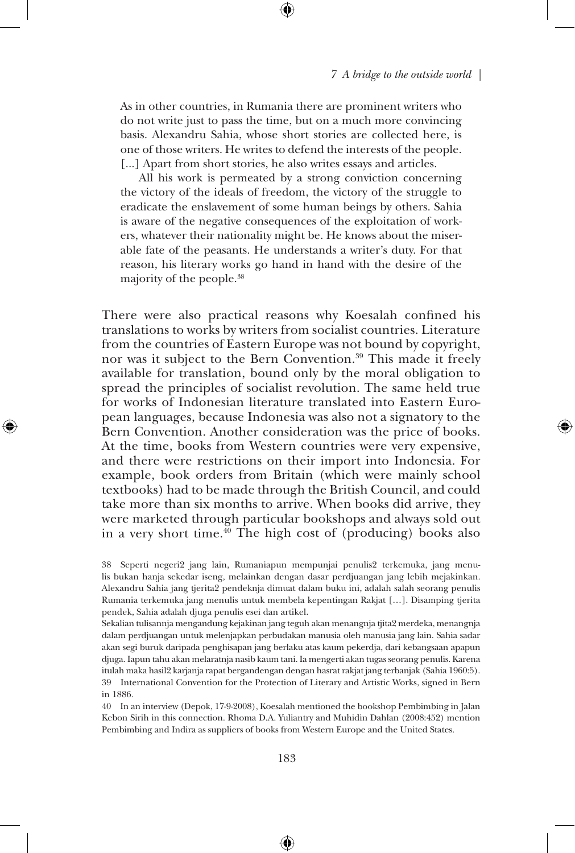As in other countries, in Rumania there are prominent writers who do not write just to pass the time, but on a much more convincing basis. Alexandru Sahia, whose short stories are collected here, is one of those writers. He writes to defend the interests of the people. [...] Apart from short stories, he also writes essays and articles.

All his work is permeated by a strong conviction concerning the victory of the ideals of freedom, the victory of the struggle to eradicate the enslavement of some human beings by others. Sahia is aware of the negative consequences of the exploitation of workers, whatever their nationality might be. He knows about the miserable fate of the peasants. He understands a writer's duty. For that reason, his literary works go hand in hand with the desire of the majority of the people.38

There were also practical reasons why Koesalah confined his translations to works by writers from socialist countries. Literature from the countries of Eastern Europe was not bound by copyright, nor was it subject to the Bern Convention.39 This made it freely available for translation, bound only by the moral obligation to spread the principles of socialist revolution. The same held true for works of Indonesian literature translated into Eastern European languages, because Indonesia was also not a signatory to the Bern Convention. Another consideration was the price of books. At the time, books from Western countries were very expensive, and there were restrictions on their import into Indonesia. For example, book orders from Britain (which were mainly school textbooks) had to be made through the British Council, and could take more than six months to arrive. When books did arrive, they were marketed through particular bookshops and always sold out in a very short time.<sup>40</sup> The high cost of (producing) books also

38 Seperti negeri2 jang lain, Rumaniapun mempunjai penulis2 terkemuka, jang menulis bukan hanja sekedar iseng, melainkan dengan dasar perdjuangan jang lebih mejakinkan. Alexandru Sahia jang tjerita2 pendeknja dimuat dalam buku ini, adalah salah seorang penulis Rumania terkemuka jang menulis untuk membela kepentingan Rakjat […]. Disamping tjerita pendek, Sahia adalah djuga penulis esei dan artikel.

Sekalian tulisannja mengandung kejakinan jang teguh akan menangnja tjita2 merdeka, menangnja dalam perdjuangan untuk melenjapkan perbudakan manusia oleh manusia jang lain. Sahia sadar akan segi buruk daripada penghisapan jang berlaku atas kaum pekerdja, dari kebangsaan apapun djuga. Iapun tahu akan melaratnja nasib kaum tani. Ia mengerti akan tugas seorang penulis. Karena itulah maka hasil2 karjanja rapat bergandengan dengan hasrat rakjat jang terbanjak (Sahia 1960:5). 39 International Convention for the Protection of Literary and Artistic Works, signed in Bern in 1886.

40 In an interview (Depok, 17-9-2008), Koesalah mentioned the bookshop Pembimbing in Jalan Kebon Sirih in this connection. Rhoma D.A. Yuliantry and Muhidin Dahlan (2008:452) mention Pembimbing and Indira as suppliers of books from Western Europe and the United States.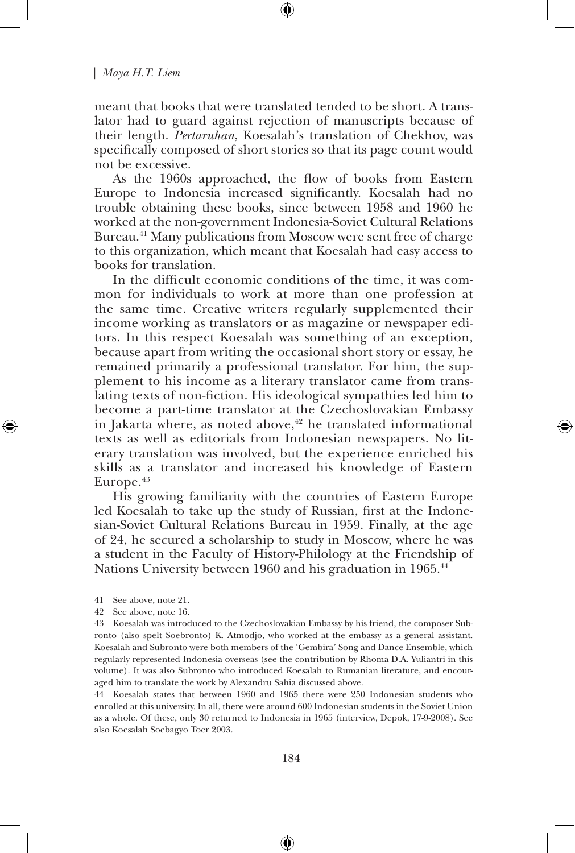meant that books that were translated tended to be short. A translator had to guard against rejection of manuscripts because of their length. *Pertaruhan*, Koesalah's translation of Chekhov, was specifically composed of short stories so that its page count would not be excessive.

As the 1960s approached, the flow of books from Eastern Europe to Indonesia increased significantly. Koesalah had no trouble obtaining these books, since between 1958 and 1960 he worked at the non-government Indonesia-Soviet Cultural Relations Bureau.<sup>41</sup> Many publications from Moscow were sent free of charge to this organization, which meant that Koesalah had easy access to books for translation.

In the difficult economic conditions of the time, it was common for individuals to work at more than one profession at the same time. Creative writers regularly supplemented their income working as translators or as magazine or newspaper editors. In this respect Koesalah was something of an exception, because apart from writing the occasional short story or essay, he remained primarily a professional translator. For him, the supplement to his income as a literary translator came from translating texts of non-fiction. His ideological sympathies led him to become a part-time translator at the Czechoslovakian Embassy in Jakarta where, as noted above, $42$  he translated informational texts as well as editorials from Indonesian newspapers. No literary translation was involved, but the experience enriched his skills as a translator and increased his knowledge of Eastern Europe.43

His growing familiarity with the countries of Eastern Europe led Koesalah to take up the study of Russian, first at the Indonesian-Soviet Cultural Relations Bureau in 1959. Finally, at the age of 24, he secured a scholarship to study in Moscow, where he was a student in the Faculty of History-Philology at the Friendship of Nations University between 1960 and his graduation in 1965.<sup>44</sup>

42 See above, note 16.

44 Koesalah states that between 1960 and 1965 there were 250 Indonesian students who enrolled at this university. In all, there were around 600 Indonesian students in the Soviet Union as a whole. Of these, only 30 returned to Indonesia in 1965 (interview, Depok, 17-9-2008). See also Koesalah Soebagyo Toer 2003.

<sup>41</sup> See above, note 21.

<sup>43</sup> Koesalah was introduced to the Czechoslovakian Embassy by his friend, the composer Subronto (also spelt Soebronto) K. Atmodjo, who worked at the embassy as a general assistant. Koesalah and Subronto were both members of the 'Gembira' Song and Dance Ensemble, which regularly represented Indonesia overseas (see the contribution by Rhoma D.A. Yuliantri in this volume). It was also Subronto who introduced Koesalah to Rumanian literature, and encouraged him to translate the work by Alexandru Sahia discussed above.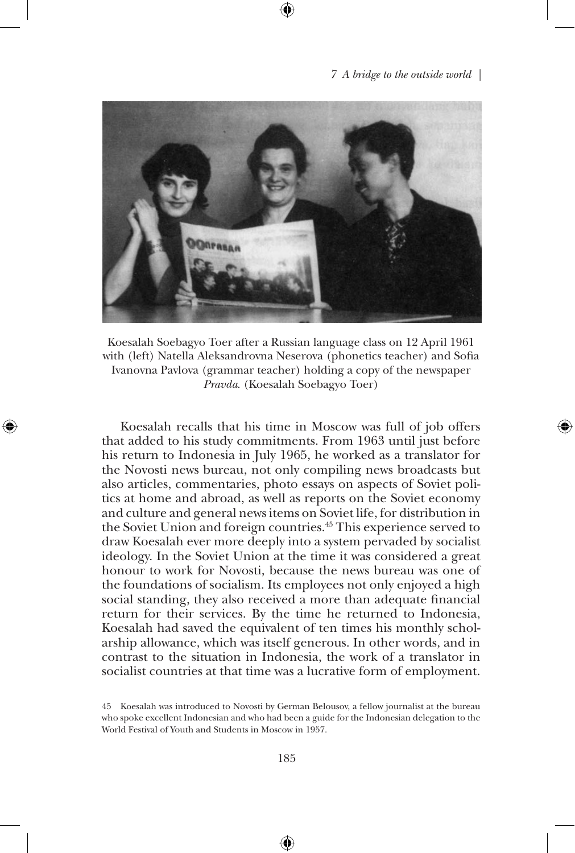

Koesalah Soebagyo Toer after a Russian language class on 12 April 1961 with (left) Natella Aleksandrovna Neserova (phonetics teacher) and Sofia Ivanovna Pavlova (grammar teacher) holding a copy of the newspaper *Pravda*. (Koesalah Soebagyo Toer)

Koesalah recalls that his time in Moscow was full of job offers that added to his study commitments. From 1963 until just before his return to Indonesia in July 1965, he worked as a translator for the Novosti news bureau, not only compiling news broadcasts but also articles, commentaries, photo essays on aspects of Soviet politics at home and abroad, as well as reports on the Soviet economy and culture and general news items on Soviet life, for distribution in the Soviet Union and foreign countries.45 This experience served to draw Koesalah ever more deeply into a system pervaded by socialist ideology. In the Soviet Union at the time it was considered a great honour to work for Novosti, because the news bureau was one of the foundations of socialism. Its employees not only enjoyed a high social standing, they also received a more than adequate financial return for their services. By the time he returned to Indonesia, Koesalah had saved the equivalent of ten times his monthly scholarship allowance, which was itself generous. In other words, and in contrast to the situation in Indonesia, the work of a translator in socialist countries at that time was a lucrative form of employment.

<sup>45</sup> Koesalah was introduced to Novosti by German Belousov, a fellow journalist at the bureau who spoke excellent Indonesian and who had been a guide for the Indonesian delegation to the World Festival of Youth and Students in Moscow in 1957.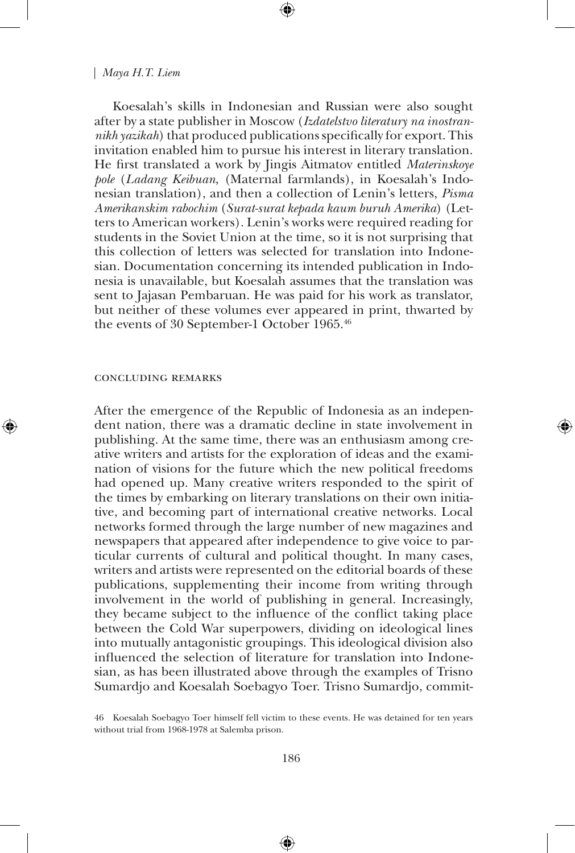Koesalah's skills in Indonesian and Russian were also sought after by a state publisher in Moscow (*Izdatelstvo literatury na inostrannikh yazikah*) that produced publications specifically for export. This invitation enabled him to pursue his interest in literary translation. He first translated a work by Jingis Aitmatov entitled *Materinskoye pole* (*Ladang Keibuan*, (Maternal farmlands), in Koesalah's Indonesian translation), and then a collection of Lenin's letters, *Pisma Amerikanskim rabochim* (*Surat-surat kepada kaum buruh Amerika*) (Letters to American workers). Lenin's works were required reading for students in the Soviet Union at the time, so it is not surprising that this collection of letters was selected for translation into Indonesian. Documentation concerning its intended publication in Indonesia is unavailable, but Koesalah assumes that the translation was sent to Jajasan Pembaruan. He was paid for his work as translator, but neither of these volumes ever appeared in print, thwarted by the events of 30 September-1 October 1965.46

#### concluding remarks

After the emergence of the Republic of Indonesia as an independent nation, there was a dramatic decline in state involvement in publishing. At the same time, there was an enthusiasm among creative writers and artists for the exploration of ideas and the examination of visions for the future which the new political freedoms had opened up. Many creative writers responded to the spirit of the times by embarking on literary translations on their own initiative, and becoming part of international creative networks. Local networks formed through the large number of new magazines and newspapers that appeared after independence to give voice to particular currents of cultural and political thought. In many cases, writers and artists were represented on the editorial boards of these publications, supplementing their income from writing through involvement in the world of publishing in general. Increasingly, they became subject to the influence of the conflict taking place between the Cold War superpowers, dividing on ideological lines into mutually antagonistic groupings. This ideological division also influenced the selection of literature for translation into Indonesian, as has been illustrated above through the examples of Trisno Sumardjo and Koesalah Soebagyo Toer. Trisno Sumardjo, commit-

<sup>46</sup> Koesalah Soebagyo Toer himself fell victim to these events. He was detained for ten years without trial from 1968-1978 at Salemba prison.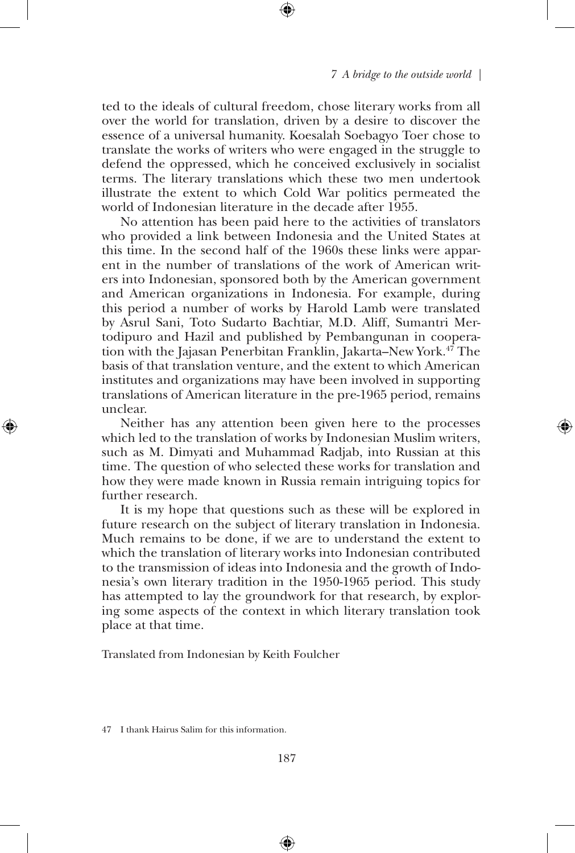ted to the ideals of cultural freedom, chose literary works from all over the world for translation, driven by a desire to discover the essence of a universal humanity. Koesalah Soebagyo Toer chose to translate the works of writers who were engaged in the struggle to defend the oppressed, which he conceived exclusively in socialist terms. The literary translations which these two men undertook illustrate the extent to which Cold War politics permeated the world of Indonesian literature in the decade after 1955.

No attention has been paid here to the activities of translators who provided a link between Indonesia and the United States at this time. In the second half of the 1960s these links were apparent in the number of translations of the work of American writers into Indonesian, sponsored both by the American government and American organizations in Indonesia. For example, during this period a number of works by Harold Lamb were translated by Asrul Sani, Toto Sudarto Bachtiar, M.D. Aliff, Sumantri Mertodipuro and Hazil and published by Pembangunan in cooperation with the Jajasan Penerbitan Franklin, Jakarta–New York.47 The basis of that translation venture, and the extent to which American institutes and organizations may have been involved in supporting translations of American literature in the pre-1965 period, remains unclear.

Neither has any attention been given here to the processes which led to the translation of works by Indonesian Muslim writers, such as M. Dimyati and Muhammad Radjab, into Russian at this time. The question of who selected these works for translation and how they were made known in Russia remain intriguing topics for further research.

It is my hope that questions such as these will be explored in future research on the subject of literary translation in Indonesia. Much remains to be done, if we are to understand the extent to which the translation of literary works into Indonesian contributed to the transmission of ideas into Indonesia and the growth of Indonesia's own literary tradition in the 1950-1965 period. This study has attempted to lay the groundwork for that research, by exploring some aspects of the context in which literary translation took place at that time.

Translated from Indonesian by Keith Foulcher

<sup>47</sup> I thank Hairus Salim for this information.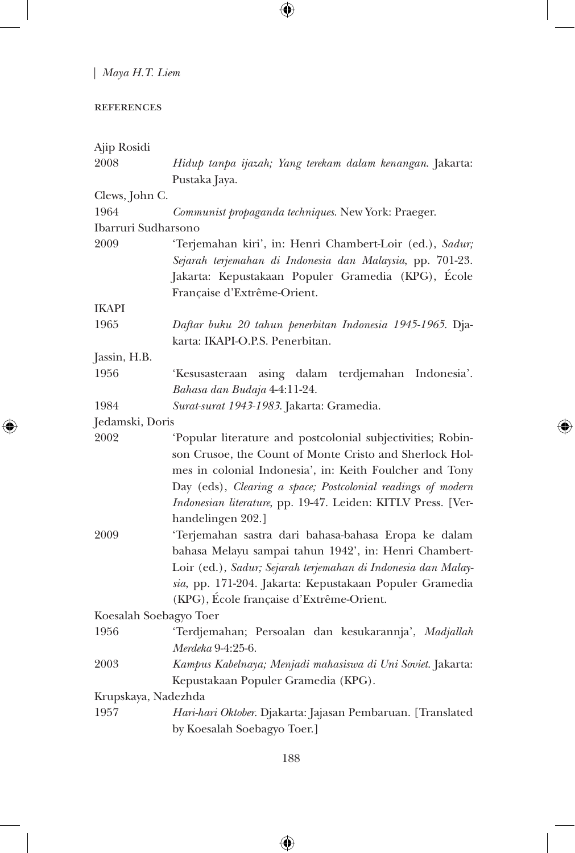#### **REFERENCES**

| Ajip Rosidi            |                                                                                                                       |  |
|------------------------|-----------------------------------------------------------------------------------------------------------------------|--|
| 2008                   | Hidup tanpa ijazah; Yang terekam dalam kenangan. Jakarta:                                                             |  |
|                        | Pustaka Jaya.                                                                                                         |  |
| Clews, John C.         |                                                                                                                       |  |
| 1964                   | Communist propaganda techniques. New York: Praeger.                                                                   |  |
| Ibarruri Sudharsono    |                                                                                                                       |  |
| 2009                   | 'Terjemahan kiri', in: Henri Chambert-Loir (ed.), Sadur;<br>Sejarah terjemahan di Indonesia dan Malaysia, pp. 701-23. |  |
|                        | Jakarta: Kepustakaan Populer Gramedia (KPG), École<br>Française d'Extrême-Orient.                                     |  |
| <b>IKAPI</b>           |                                                                                                                       |  |
| 1965                   | Daftar buku 20 tahun penerbitan Indonesia 1945-1965. Dja-<br>karta: IKAPI-O.P.S. Penerbitan.                          |  |
| Jassin, H.B.           |                                                                                                                       |  |
| 1956                   | 'Kesusasteraan asing dalam<br>terdjemahan Indonesia'.                                                                 |  |
|                        | Bahasa dan Budaja 4-4:11-24.                                                                                          |  |
| 1984                   | Surat-surat 1943-1983. Jakarta: Gramedia.                                                                             |  |
| Jedamski, Doris        |                                                                                                                       |  |
| 2002                   | 'Popular literature and postcolonial subjectivities; Robin-                                                           |  |
|                        | son Crusoe, the Count of Monte Cristo and Sherlock Hol-                                                               |  |
|                        | mes in colonial Indonesia', in: Keith Foulcher and Tony                                                               |  |
|                        | Day (eds), Clearing a space; Postcolonial readings of modern                                                          |  |
|                        | Indonesian literature, pp. 19-47. Leiden: KITLV Press. [Ver-                                                          |  |
|                        | handelingen 202.]                                                                                                     |  |
| 2009                   | 'Terjemahan sastra dari bahasa-bahasa Eropa ke dalam                                                                  |  |
|                        | bahasa Melayu sampai tahun 1942', in: Henri Chambert-                                                                 |  |
|                        | Loir (ed.), Sadur; Sejarah terjemahan di Indonesia dan Malay-                                                         |  |
|                        | sia, pp. 171-204. Jakarta: Kepustakaan Populer Gramedia                                                               |  |
|                        | (KPG), École française d'Extrême-Orient.                                                                              |  |
| Koesalah Soebagyo Toer |                                                                                                                       |  |
| 1956                   | 'Terdjemahan; Persoalan dan kesukarannja', Madjallah                                                                  |  |
|                        | Merdeka 9-4:25-6.                                                                                                     |  |
| 2003                   | Kampus Kabelnaya; Menjadi mahasiswa di Uni Soviet. Jakarta:                                                           |  |
|                        | Kepustakaan Populer Gramedia (KPG).                                                                                   |  |
| Krupskaya, Nadezhda    |                                                                                                                       |  |
| 1957                   | Hari-hari Oktober. Djakarta: Jajasan Pembaruan. [Translated                                                           |  |
|                        | by Koesalah Soebagyo Toer.]                                                                                           |  |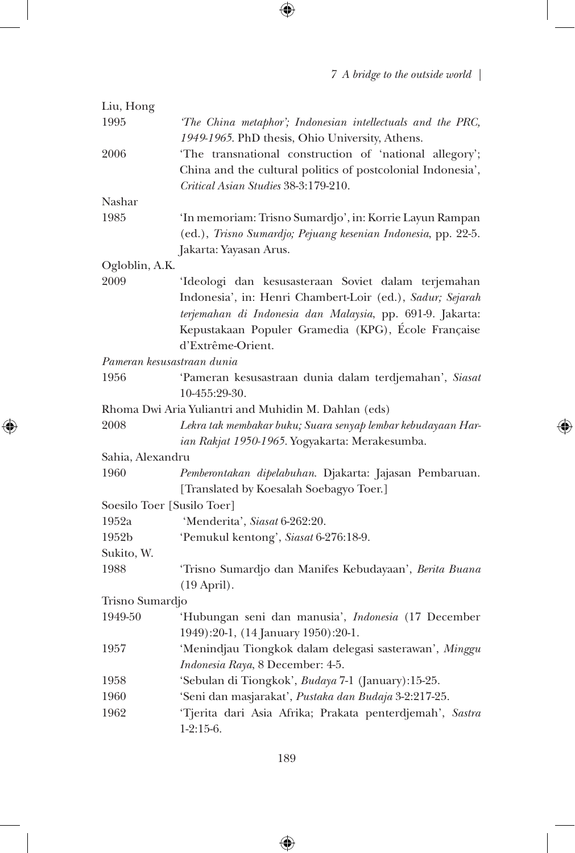| Liu, Hong                                            |                                                               |  |
|------------------------------------------------------|---------------------------------------------------------------|--|
| 1995                                                 | 'The China metaphor'; Indonesian intellectuals and the PRC,   |  |
|                                                      | 1949-1965. PhD thesis, Ohio University, Athens.               |  |
| 2006                                                 | 'The transnational construction of 'national allegory';       |  |
|                                                      | China and the cultural politics of postcolonial Indonesia',   |  |
|                                                      | Critical Asian Studies 38-3:179-210.                          |  |
| Nashar                                               |                                                               |  |
| 1985                                                 | 'In memoriam: Trisno Sumardjo', in: Korrie Layun Rampan       |  |
|                                                      | (ed.), Trisno Sumardjo; Pejuang kesenian Indonesia, pp. 22-5. |  |
|                                                      | Jakarta: Yayasan Arus.                                        |  |
| Ogloblin, A.K.                                       |                                                               |  |
| 2009                                                 | 'Ideologi dan kesusasteraan Soviet dalam terjemahan           |  |
|                                                      | Indonesia', in: Henri Chambert-Loir (ed.), Sadur; Sejarah     |  |
|                                                      | terjemahan di Indonesia dan Malaysia, pp. 691-9. Jakarta:     |  |
|                                                      | Kepustakaan Populer Gramedia (KPG), École Française           |  |
|                                                      | d'Extrême-Orient.                                             |  |
| Pameran kesusastraan dunia                           |                                                               |  |
| 1956                                                 | 'Pameran kesusastraan dunia dalam terdjemahan', Siasat        |  |
|                                                      | 10-455:29-30.                                                 |  |
| Rhoma Dwi Aria Yuliantri and Muhidin M. Dahlan (eds) |                                                               |  |
| 2008                                                 | Lekra tak membakar buku; Suara senyap lembar kebudayaan Har-  |  |
|                                                      | ian Rakjat 1950-1965. Yogyakarta: Merakesumba.                |  |
| Sahia, Alexandru                                     |                                                               |  |
| 1960                                                 | Pemberontakan dipelabuhan. Djakarta: Jajasan Pembaruan.       |  |
|                                                      | [Translated by Koesalah Soebagyo Toer.]                       |  |
| Soesilo Toer [Susilo Toer]                           |                                                               |  |
| 1952a                                                | 'Menderita', Siasat 6-262:20.                                 |  |
| 1952b                                                | 'Pemukul kentong', Siasat 6-276:18-9.                         |  |
| Sukito, W.                                           |                                                               |  |
| 1988                                                 | 'Trisno Sumardjo dan Manifes Kebudayaan', Berita Buana        |  |
|                                                      | $(19$ April).                                                 |  |
| Trisno Sumardjo                                      |                                                               |  |
| 1949-50                                              | 'Hubungan seni dan manusia', Indonesia (17 December           |  |
|                                                      | 1949):20-1, (14 January 1950):20-1.                           |  |
| 1957                                                 | 'Menindjau Tiongkok dalam delegasi sasterawan', Minggu        |  |
|                                                      | Indonesia Raya, 8 December: 4-5.                              |  |
| 1958                                                 | 'Sebulan di Tiongkok', Budaya 7-1 (January):15-25.            |  |
| 1960                                                 | 'Seni dan masjarakat', Pustaka dan Budaja 3-2:217-25.         |  |
| 1962                                                 | 'Tjerita dari Asia Afrika; Prakata penterdjemah', Sastra      |  |
|                                                      | $1-2:15-6.$                                                   |  |